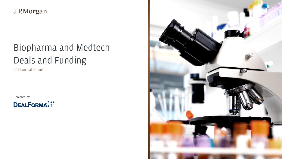

J.P.Morgan

# Deals and Funding Biopharma and Medtech

2022 Annual Outlook

Powered by

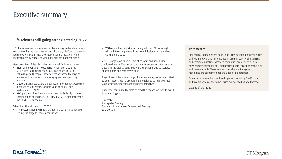## Executive summary

### **Life sciences still going strong entering 2022**

2021 was another banner year for dealmaking in the life sciences sector. Biopharma therapeutics and discovery platform companies led the way in licensing and venture capital attraction—while medtech activity remained well above its pre-pandemic levels.

Here are a few of the highlights our Annual Outlook uncovers:

 • **With many bio-tech stocks** trading off their 52-week highs, it will be interesting to see if the pre-clinical, early-stage IPOs continue in 2022.

- **Biopharma venture investment:** Funding for 2021 hit \$39 billion, surpassing the \$26 billion raised in 2020.
- **Cell and gene therapy:** These sectors attracted the largest median upfront dollars in licensing agreements with big pharma.
- **Medtech:** Diagnostics and digital health therapeutics were the most active subsectors, for both venture capital and partnerships in 2021.
- **R&D partnerships:** The number of deals fell slightly last year, coming off an abundance of activity in 2020 fueled largely by the COVID-19 pandemic.

 At J.P. Morgan, we have a team of bankers and specialists dedicated to the life sciences and healthcare sectors. We believe deeply in the pivotal contributions these clients add to society, shareholders and employees alike.

 Regardless of the size or stage of your company, we're committed to your success. We're prepared and equipped to help you meet your strategic, financial and technical objectives.

 Thank you for taking the time to read this report. We look forward to supporting you.

 Co-Head of Healthcare, Commercial Banking Sincerely, Kathryn McDonough J.P. Morgan

 and technology platforms engaged in drug discovery, clinical R&D and commercialization. Medtech companies are defined as firms developing medical devices, diagnostics, digital health therapeutics and research tools. Therapy areas, development stages and modalities are segmented per the DealForma database. Biopharma companies are defined as firms developing therapeutics

What does this all mean for 2022?

• **The sector is flush with cash,** creating a seller's market and setting the stage for more acquisitions.

 Financials are based on disclosed figures curated by DealForma. Multiple tranches of the same Series are counted as one together.

Data as of 1/7/2022



### **Parameters**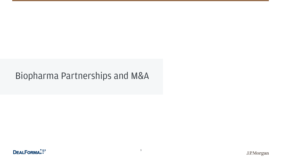# Biopharma Partnerships and M&A

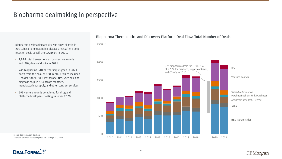## Biopharma dealmaking in perspective

 Biopharma dealmaking activity was down slightly in 2021, back to longstanding disease areas after a deep focus on deals specific to COVID-19 in 2020.

- • 1,918 total transactions across venture rounds and IPOs, deals and M&A in 2021.
- • 745 biopharma R&D partnerships signed in 2021, down from the peak of 828 in 2020, which included 276 deals for COVID-19 therapeutics, vaccines, and diagnostics, plus 524 across medtech, manufacturing, supply, and other contract services.
- • 595 venture rounds completed for drug and platform developers, beating full-year 2020.

 Financials based on disclosed figures. Data through 1/7/2022. Source: [DealForma.com](https://DealForma.com) database

### **DEALFORMAL!**

### **Biopharma Therapeutics and Discovery Platform Deal Flow: Total Number of Deals**

 Pipeline/Business Unit Purchases Sales/Co-Promotion

Venture Rounds



**M&A** 

**R&D Partnerships** 

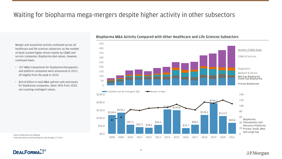Merger and acquisition activity continued across all healthcare and life sciences subsectors as the number of deals tracked higher driven mainly by CDMO and service companies. Biopharma deal values, however, continued lower.

- 
- 20 **Private, Small, Med,**
- 
- and Large Cap

J.P.Morgan

## Waiting for biopharma mega-mergers despite higher activity in other subsectors

Number of M&A Deals

CDMO & Services

- 107 M&A transactions for biopharma therapeutics and platform companies were announced in 2021, off slightly from the peak in 2020.
- \$69.8 billion in total M&A upfront cash and equity for biopharma companies, down 38% from 2020, not counting contingent values.

Source: [DealForma.com](https://DealForma.com) database Financials based on disclosed figures. Data through 1/7/2022.

**DEALFORMAL** 

**Biopharma M&A Activity Compared with Other Healthcare and Life Sciences Subsectors** 







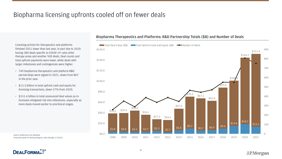Licensing activity for therapeutics and platforms finished 2021 lower than last year, in part due to 2020 having 380 deals specific to COVID-19—plus other therapy areas and another 500 deals. Deal counts and total upfront payments were lower, while deals with larger milestones and contingencies were higher.

- 749 biopharma therapeutics and platform R&D partnerships were signed in 2021, down from 807 in the prior year.
- \$13.3 billion in total upfront cash and equity for licensing transactions, down 27% from 2020.
- \$151.4 billion in total announced deal values as inlicensees mitigated risk into milestones, especially as more deals moved earlier to preclinical stages.

## Biopharma licensing upfronts cooled off on fewer deals

Source: [DealForma.com](https://DealForma.com) database Financials based on disclosed figures. Data through 1/7/2022.



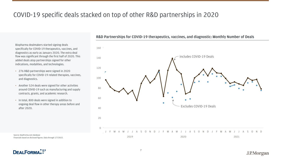## COVID-19 specific deals stacked on top of other R&D partnerships in 2020

Biopharma dealmakers started signing deals specifically for COVID-19 therapeutics, vaccines, and diagnostics as early as January 2020. The extra deal flow was significant through the first half of 2020. This added deals atop partnerships signed for other indications, modalities, and technologies.

 Financials based on disclosed figures. Data through 1/7/2022. Source: [DealForma.com](https://DealForma.com) database



- 276 R&D partnerships were signed in 2020 specifically for COVID-19 related therapies, vaccines, and diagnostics.
- Another 524 deals were signed for other activities around COVID-19 such as manufacturing and supply contracts, grants, and academic research.
- In total, 800 deals were signed in addition to ongoing deal flow in other therapy areas before and after 2020.

**R&D Partnerships for COVID-19 therapeutics, vaccines, and diagnostic: Monthly Number of Deals** 

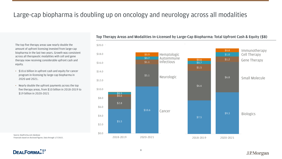## Large-cap biopharma is doubling up on oncology and neurology across all modalities

 The top five therapy areas saw nearly double the amount of upfront licensing invested from large-cap biopharma in the last two years. Growth was consistent across all therapeutic modalities with cell and gene therapy now receiving considerable upfront cash and equity.

- • \$10.6 billion in upfront cash and equity for cancer program in-licensing by large-cap biopharma in 2020 and 2021.
- • Nearly double the upfront payments across the top five therapy areas, from \$10 billion in 2018-2019 to \$19 billion in 2020-2021

 Financials based on disclosed figures. Data through 1/7/2022. Source: [DealForma.com](https://DealForma.com) database

### **Top Therapy Areas and Modalities In-Licensed by Large-Cap Biopharma: Total Upfront Cash & Equity (\$B)**

**DEALFORMAL!** 

| \$0.8<br>\$1.0 | Immunotherapy<br><b>Cell Therapy</b> |
|----------------|--------------------------------------|
| \$1.2          | <b>Gene Therapy</b>                  |
| \$6.8          | <b>Small Molecule</b>                |
| \$9.3          | <b>Biologics</b>                     |
|                |                                      |

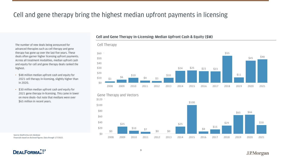## Cell and gene therapy bring the highest median upfront payments in licensing

The number of new deals being announced for advanced therapies such as cell therapy and gene therapy has gone up over the last five years. These deals often garner higher licensing upfront payments. Across all treatment modalities, median upfront cash and equity for cell and gene therapy deals ranked the highest.

 Financials based on disclosed figures. Data through 1/7/2022. Source: [DealForma.com](https://DealForma.com) database

**DEALFORMAL:** 

- \$48 million median upfront cash and equity for 2021 cell therapy in-licensing, slightly higher than in 2020.
- \$30 million median upfront cash and equity for 2021 gene therapy in-licensing. This came in lower on more deals—but note that medians were over \$65 million in recent years.

**Cell and Gene Therapy In-Licensing: Median Upfront Cash & Equity (\$M)** 

### Cell Therapy  $$60$  = \$55  $$45$  \$50 \$45  $\frac{$48}{ }$ \$40  $$24$   $$25$   $$23$   $$23$   $$23$  $$10$  \$10 \$10 \$10 \$10 \$11  $$10 \t $3 \t $6 \t $4 \t $3$ \$0 2008 2009 2010 2011 2012 2013 2014 2015 2016 2017 2018 2019 2020 2021







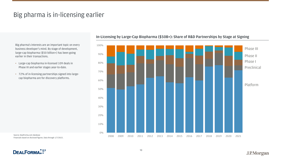## Big pharma is in-licensing earlier

 Big pharma's interests are an important topic on every business developer's mind. By stage of development, large-cap biopharma (\$50 billion+) has been going earlier in their transactions.

- • Large-cap biopharma in-licensed 109 deals in Phase III and earlier stages year-to-date.
- • 72% of in-licensing partnerships signed into large-cap biopharma are for discovery platforms.

 Financials based on disclosed figures. Data through 1/7/2022. Source: [DealForma.com](https://DealForma.com) database



### **In-Licensing by Large-Cap Biopharma (\$50B+): Share of R&D Partnerships by Stage at Signing**

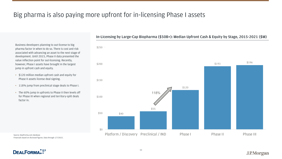## <span id="page-10-0"></span>Big pharma is also paying more upfront for in-licensing Phase I assets

Business developers planning to out-license to big pharma factor in when to do so. There is cost and risk associated with advancing an asset to the next stage of development. Until 2015, Phase II data presented the value inflection point for out-licensing. Recently, however, Phase I assets have brought in the largest jump in upfront cash and equity.

 Financials based on disclosed figures. Data through 1/7/2022. Source: [DealForma.com](https://DealForma.com) database

**DEALFORMAL:** 

- \$120 million median upfront cash and equity for Phase II assets license deal signing.
- 118% jump from preclinical stage deals to Phase I.
- The 60% jump in upfronts to Phase II then levels off for Phase III when regional and territory-split deals factor in.

**In-Licensing by Large-Cap Biopharma (\$50B+): Median Upfront Cash & Equity by Stage, 2015-2021 (\$M)** 

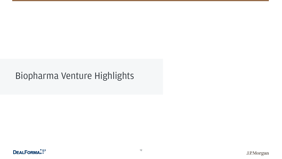# Biopharma Venture Highlights

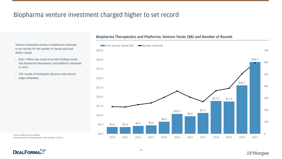## Biopharma venture investment charged higher to set record

 Venture investment activity in biopharma continued to set records for the number of rounds and total dollars raised.

- • \$38.7 billion was raised in private funding rounds into biopharma therapeutics and platform companies in 2021.
- • 595 rounds of funding for discovery and clinicalstage companies.

 Financials based on disclosed figures. Data through 1/7/2022. Source: [DealForma.com](https://DealForma.com) database

**DEALFORMAL!** 



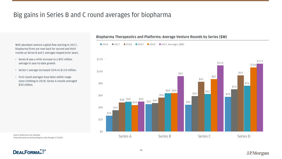## Big gains in Series B and C round averages for biopharma

With abundant venture capital flow starting in 2017, biopharma firms are now back for second and third rounds as Series B and C averages topped prior years.

 Financials based on disclosed figures. Data through 1/7/2022. Source: [DealForma.com](https://DealForma.com) database

**DEALFORMAL!** 

- Series B saw a 44% increase to a \$92 million average in year-to-date growth.
- Series C average increased 26% to \$110 million.
- First-round averages have been within range since climbing in 2018. Series A rounds averaged \$50 million.

### **Biopharma Therapeutics and Platforms: Average Venture Rounds by Series (\$M)**



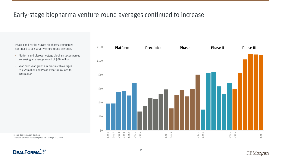Phase I and earlier-staged biopharma companies continued to see larger venture round averages.

- Platform and discovery-stage biopharma companies are seeing an average round of \$68 million.
- Year-over-year growth in preclinical averages to \$59 million and Phase I venture rounds to \$80 million.

## Early-stage biopharma venture round averages continued to increase

Source: [DealForma.com](https://DealForma.com) database Financials based on disclosed figures. Data through 1/7/2022.



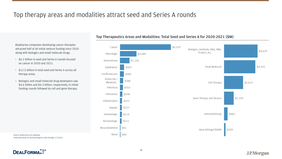Biopharma companies developing cancer therapies attracted half of all initial venture funding since 2020 along with biologics and small molecule drugs.

- \$6.2 billion in seed and Series A rounds focused on cancer in 2020 and 2021.
- \$12.5 billion in total seed and Series A across all therapy areas.
- Biologics and small molecule drug developers saw \$4.6 billion and \$4.3 billion, respectively, in initial funding rounds followed by cell and gene therapy.

## Top therapy areas and modalities attract seed and Series A rounds

### **Top Therapeutics Areas and Modalities: Total Seed and Series A for 2020-2021 (\$M)**

Source: [DealForma.com](https://DealForma.com) database Financials based on disclosed figures. Data through 1/7/2022.



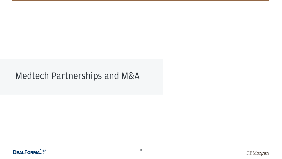# Medtech Partnerships and M&A

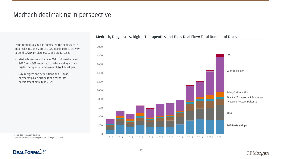## Medtech dealmaking in perspective

Venture fund raising has dominated the deal space in medtech since the start of 2020 due in part to activity around COVID-19 diagnostics and digital tech.

 Financials based on disclosed figures. Data through 1/7/2022. Source: [DealForma.com](https://DealForma.com) database

**DEALFORMAL:** 

- Medtech venture activity in 2021 followed a record 2020 with 809 rounds across device, diagnostics, digital therapeutics and research tool developers.
- 342 mergers and acquisitions and 318 R&D partnerships led business and corporate development activity in 2021.

### **Medtech, Diagnostics, Digital Therapeutics and Tools Deal Flow: Total Number of Deals**



Venture Rounds



Sales/Co-Promotion Pipeline/Business Unit Purchases Academic Research/License

**M&A** 

**R&D Partnerships**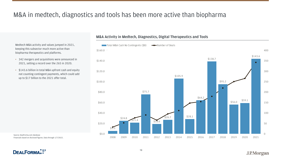## M&A in medtech, diagnostics and tools has been more active than biopharma

 Medtech M&A activity and values jumped in 2021, keeping this subsector much more active than biopharma therapeutics and platforms.

- • 342 mergers and acquisitions were announced in 2021, setting a record over the 265 in 2020.
- • \$143.6 billion in total M&A upfront cash and equity not counting contingent payments, which could add up to \$17 billion to the 2021 offer total.

 Financials based on disclosed figures. Data through 1/7/2022. Source: [DealForma.com](https://DealForma.com) database

**DEALFORMAL:** 

### **M&A Activity in Medtech, Diagnostics, Digital Therapeutics and Tools**

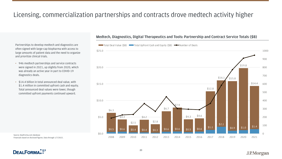## Licensing, commercialization partnerships and contracts drove medtech activity higher

Partnerships to develop medtech and diagnostics are often signed with large-cap biopharma with access to large amounts of patient data and the need to organize and prioritize clinical trials.

- 946 medtech partnerships and service contracts were signed in 2021, up slightly from 2020, which was already an active year in part to COVID-19 diagnostics deals.
- \$14.4 billion in total announced deal value, with \$1.4 million in committed upfront cash and equity. Total announced deal values were lower, though committed upfront payments continued upward.

Source: DealForma.com database Financials based on disclosed figures. Data through 1/7/2022.

**DEALFORMAL:** 

### **Medtech, Diagnostics, Digital Therapeutics and Tools: Partnership and Contract Service Totals (\$B)**

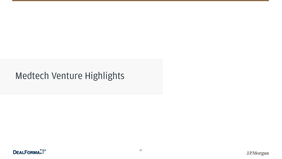# Medtech Venture Highlights

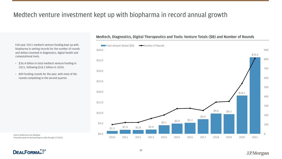## Medtech venture investment kept up with biopharma in record annual growth

 Full-year 2021 medtech venture funding kept up with biopharma in setting records for the number of rounds and dollars invested in diagnostics, digital health and computational tools.

- • \$36.4 billion in total medtech venture funding in 2021, following \$18.2 billion in 2020.
- • 809 funding rounds for the year, with most of the rounds completing in the second quarter.

 Financials based on disclosed figures. Data through 1/7/2022. Source: [DealForma.com](https://DealForma.com) database

**DEALFORMAL!** 

### **Medtech, Diagnostics, Digital Therapeutics and Tools: Venture Totals (\$B) and Number of Rounds**

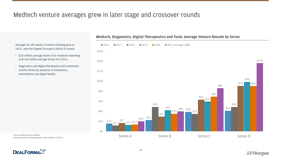## Medtech venture averages grew in later stage and crossover rounds

Averages for all rounds of venture funding grew in 2021, with the largest increase in Series D rounds.

 Financials based on disclosed figures. Data through 1/7/2022. Source: [DealForma.com](https://DealForma.com) database

**DEALFORMAL:** 

## **Medtech, Diagnostics, Digital Therapeutics and Tools: Average Venture Rounds by Series**  2016 **2017 2018 2019 2020 2021** Averages (\$M) \$160  $$140$ \$120 \$98 \$100 \$91 \$90 \$86 \$80 \$69  $\frac{$63}{$59}$ \$49 \$49 \$49  $\frac{$42}{$35}$  \$38 \$35 \$38 \$35 \$35 \$40 \$38 \$35 \$40 \$38 \$35 \$41 \$29 \$20 \$15 \$17 \$13 \$13 \$20 \$23 \$0 Series A Series B Series C Series C Series D

- \$20 million average Series A for medtech extending to \$136 million average Series D in 2021.
- Diagnostics and digital therapeutics led investment activity driven by advances in biomarkers, telemedicine and digital health.